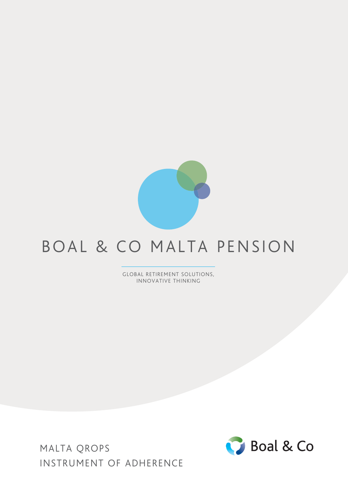

## BOAL & CO MALTA PENSION

GLOBAL RETIREMENT SOLUTIONS, INNOVATIVE THINKING

MALTA QROPS INSTRUMENT OF ADHERENCE

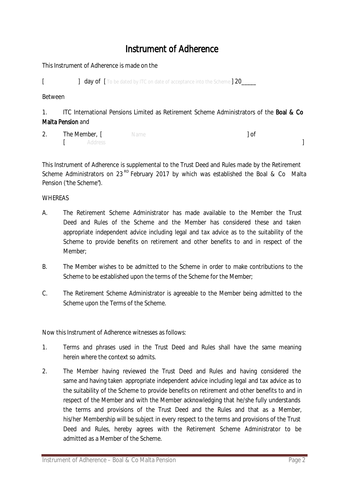## Instrument of Adherence

This Instrument of Adherence is made on the

[ **day of**  $\lceil$  To be dated by ITC on date of acceptance into the Scheme **] 20** 

Between

1. ITC International Pensions Limited as Retirement Scheme Administrators of the **Boal & Co** Malta Pension and

| 2. | The Member, [ | Name | 01 |
|----|---------------|------|----|
|    | Address       |      |    |

This Instrument of Adherence is supplemental to the Trust Deed and Rules made by the Retirement Scheme Administrators on 23<sup>RD</sup> February 2017 by which was established the Boal & Co Malta Pension ("the Scheme").

## **WHEREAS**

- A. The Retirement Scheme Administrator has made available to the Member the Trust Deed and Rules of the Scheme and the Member has considered these and taken appropriate independent advice including legal and tax advice as to the suitability of the Scheme to provide benefits on retirement and other benefits to and in respect of the Member;
- B. The Member wishes to be admitted to the Scheme in order to make contributions to the Scheme to be established upon the terms of the Scheme for the Member;
- C. The Retirement Scheme Administrator is agreeable to the Member being admitted to the Scheme upon the Terms of the Scheme.

Now this Instrument of Adherence witnesses as follows:

- 1. Terms and phrases used in the Trust Deed and Rules shall have the same meaning herein where the context so admits.
- 2. The Member having reviewed the Trust Deed and Rules and having considered the same and having taken appropriate independent advice including legal and tax advice as to the suitability of the Scheme to provide benefits on retirement and other benefits to and in respect of the Member and with the Member acknowledging that he/she fully understands the terms and provisions of the Trust Deed and the Rules and that as a Member, his/her Membership will be subject in every respect to the terms and provisions of the Trust Deed and Rules, hereby agrees with the Retirement Scheme Administrator to be admitted as a Member of the Scheme.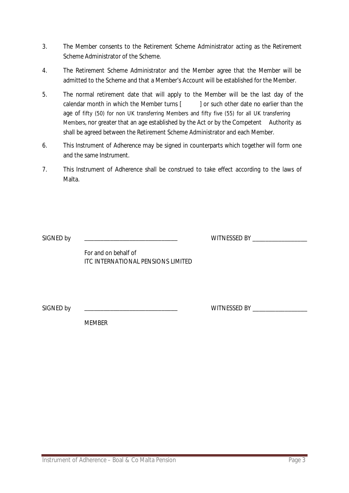- 3. The Member consents to the Retirement Scheme Administrator acting as the Retirement Scheme Administrator of the Scheme.
- 4. The Retirement Scheme Administrator and the Member agree that the Member will be admitted to the Scheme and that a Member's Account will be established for the Member.
- 5. The normal retirement date that will apply to the Member will be the last day of the calendar month in which the Member turns [ ] or such other date no earlier than the age of fifty (50) for non UK transferring Members and fifty five (55) for all UK transferring Members, nor greater that an age established by the Act or by the Competent Authority as shall be agreed between the Retirement Scheme Administrator and each Member.
- 6. This Instrument of Adherence may be signed in counterparts which together will form one and the same Instrument.
- 7. This Instrument of Adherence shall be construed to take effect according to the laws of Malta.

SIGNED by \_\_\_\_\_\_\_\_\_\_\_\_\_\_\_\_\_\_\_\_\_\_\_\_\_\_\_\_\_ WITNESSED BY \_\_\_\_\_\_\_\_\_\_\_\_\_\_\_\_\_

For and on behalf of ITC INTERNATIONAL PENSIONS LIMITED

SIGNED by \_\_\_\_\_\_\_\_\_\_\_\_\_\_\_\_\_\_\_\_\_\_\_\_\_\_\_\_\_ WITNESSED BY \_\_\_\_\_\_\_\_\_\_\_\_\_\_\_\_\_

**MEMBER**